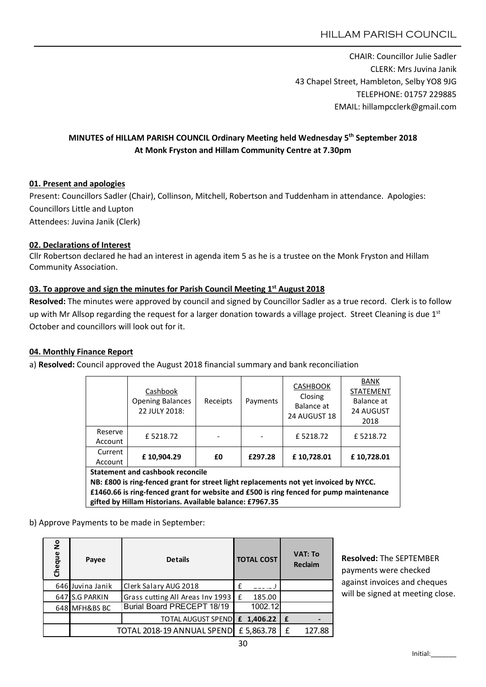CHAIR: Councillor Julie Sadler CLERK: Mrs Juvina Janik 43 Chapel Street, Hambleton, Selby YO8 9JG TELEPHONE: 01757 229885 EMAIL: hillampcclerk@gmail.com

# MINUTES of HILLAM PARISH COUNCIL Ordinary Meeting held Wednesday 5<sup>th</sup> September 2018 At Monk Fryston and Hillam Community Centre at 7.30pm

## 01. Present and apologies

Present: Councillors Sadler (Chair), Collinson, Mitchell, Robertson and Tuddenham in attendance. Apologies: Councillors Little and Lupton Attendees: Juvina Janik (Clerk)

## 02. Declarations of Interest

Cllr Robertson declared he had an interest in agenda item 5 as he is a trustee on the Monk Fryston and Hillam Community Association.

## 03. To approve and sign the minutes for Parish Council Meeting 1<sup>st</sup> August 2018

Resolved: The minutes were approved by council and signed by Councillor Sadler as a true record. Clerk is to follow up with Mr Allsop regarding the request for a larger donation towards a village project. Street Cleaning is due 1st October and councillors will look out for it.

## 04. Monthly Finance Report

a) Resolved: Council approved the August 2018 financial summary and bank reconciliation

|                                                                                        | Cashbook<br><b>Opening Balances</b><br>22 JULY 2018: | Receipts | Payments | <b>CASHBOOK</b><br>Closing<br>Balance at<br>24 AUGUST 18 | <b>BANK</b><br><b>STATEMENT</b><br>Balance at<br><b>24 AUGUST</b><br>2018 |  |  |  |  |  |
|----------------------------------------------------------------------------------------|------------------------------------------------------|----------|----------|----------------------------------------------------------|---------------------------------------------------------------------------|--|--|--|--|--|
| Reserve<br>Account                                                                     | £5218.72                                             |          |          | £5218.72                                                 | £5218.72                                                                  |  |  |  |  |  |
| Current<br>Account                                                                     | £10,904.29                                           | £0       | £297.28  | £10,728.01                                               | £10,728.01                                                                |  |  |  |  |  |
| <b>Statement and cashbook reconcile</b>                                                |                                                      |          |          |                                                          |                                                                           |  |  |  |  |  |
| NB: £800 is ring-fenced grant for street light replacements not yet invoiced by NYCC.  |                                                      |          |          |                                                          |                                                                           |  |  |  |  |  |
| £1460.66 is ring-fenced grant for website and £500 is ring fenced for pump maintenance |                                                      |          |          |                                                          |                                                                           |  |  |  |  |  |
| gifted by Hillam Historians. Available balance: £7967.35                               |                                                      |          |          |                                                          |                                                                           |  |  |  |  |  |

b) Approve Payments to be made in September:

| å<br>Cheque | Payee                      | <b>Details</b>                     |  | <b>TOTAL COST</b> |    | <b>VAT: To</b><br><b>Reclaim</b> |  |
|-------------|----------------------------|------------------------------------|--|-------------------|----|----------------------------------|--|
|             | 646 Juvina Janik           | Clerk Salary AUG 2018              |  |                   |    |                                  |  |
|             | 647 S.G PARKIN             | Grass cutting All Areas Inv 1993 E |  | 185.00            |    |                                  |  |
|             | 648 MFH&BS BC              | Burial Board PRECEPT 18/19         |  | 1002.12           |    |                                  |  |
|             |                            | TOTAL AUGUST SPEND E 1,406.22      |  |                   | Ι£ |                                  |  |
|             | TOTAL 2018-19 ANNUAL SPEND |                                    |  | £5,863.78         | £  | 127.88                           |  |

Resolved: The SEPTEMBER payments were checked against invoices and cheques will be signed at meeting close.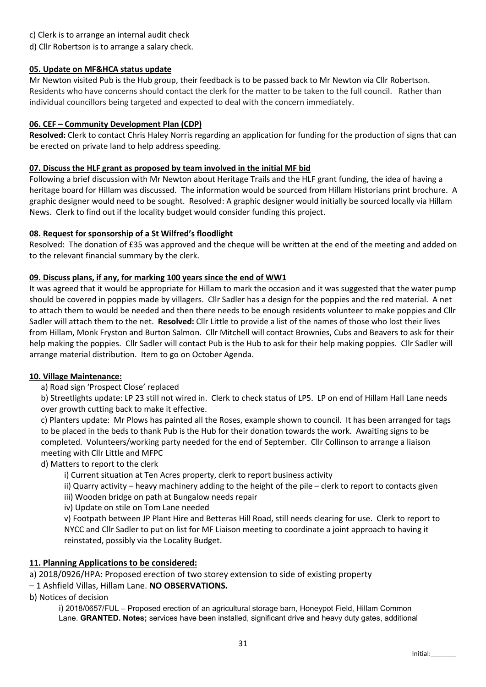c) Clerk is to arrange an internal audit check

d) Cllr Robertson is to arrange a salary check.

## 05. Update on MF&HCA status update

Mr Newton visited Pub is the Hub group, their feedback is to be passed back to Mr Newton via Cllr Robertson. Residents who have concerns should contact the clerk for the matter to be taken to the full council. Rather than individual councillors being targeted and expected to deal with the concern immediately.

## 06. CEF – Community Development Plan (CDP)

Resolved: Clerk to contact Chris Haley Norris regarding an application for funding for the production of signs that can be erected on private land to help address speeding.

## 07. Discuss the HLF grant as proposed by team involved in the initial MF bid

Following a brief discussion with Mr Newton about Heritage Trails and the HLF grant funding, the idea of having a heritage board for Hillam was discussed. The information would be sourced from Hillam Historians print brochure. A graphic designer would need to be sought. Resolved: A graphic designer would initially be sourced locally via Hillam News. Clerk to find out if the locality budget would consider funding this project.

## 08. Request for sponsorship of a St Wilfred's floodlight

Resolved: The donation of £35 was approved and the cheque will be written at the end of the meeting and added on to the relevant financial summary by the clerk.

## 09. Discuss plans, if any, for marking 100 years since the end of WW1

It was agreed that it would be appropriate for Hillam to mark the occasion and it was suggested that the water pump should be covered in poppies made by villagers. Cllr Sadler has a design for the poppies and the red material. A net to attach them to would be needed and then there needs to be enough residents volunteer to make poppies and Cllr Sadler will attach them to the net. Resolved: Cllr Little to provide a list of the names of those who lost their lives from Hillam, Monk Fryston and Burton Salmon. Cllr Mitchell will contact Brownies, Cubs and Beavers to ask for their help making the poppies. Cllr Sadler will contact Pub is the Hub to ask for their help making poppies. Cllr Sadler will arrange material distribution. Item to go on October Agenda.

## 10. Village Maintenance:

a) Road sign 'Prospect Close' replaced

b) Streetlights update: LP 23 still not wired in. Clerk to check status of LP5. LP on end of Hillam Hall Lane needs over growth cutting back to make it effective.

c) Planters update: Mr Plows has painted all the Roses, example shown to council. It has been arranged for tags to be placed in the beds to thank Pub is the Hub for their donation towards the work. Awaiting signs to be completed. Volunteers/working party needed for the end of September. Cllr Collinson to arrange a liaison meeting with Cllr Little and MFPC

d) Matters to report to the clerk

i) Current situation at Ten Acres property, clerk to report business activity

ii) Quarry activity – heavy machinery adding to the height of the pile – clerk to report to contacts given

iii) Wooden bridge on path at Bungalow needs repair

iv) Update on stile on Tom Lane needed

v) Footpath between JP Plant Hire and Betteras Hill Road, still needs clearing for use. Clerk to report to NYCC and Cllr Sadler to put on list for MF Liaison meeting to coordinate a joint approach to having it reinstated, possibly via the Locality Budget.

# 11. Planning Applications to be considered:

a) 2018/0926/HPA: Proposed erection of two storey extension to side of existing property

## – 1 Ashfield Villas, Hillam Lane. NO OBSERVATIONS.

b) Notices of decision

i) 2018/0657/FUL – Proposed erection of an agricultural storage barn, Honeypot Field, Hillam Common Lane. GRANTED. Notes; services have been installed, significant drive and heavy duty gates, additional